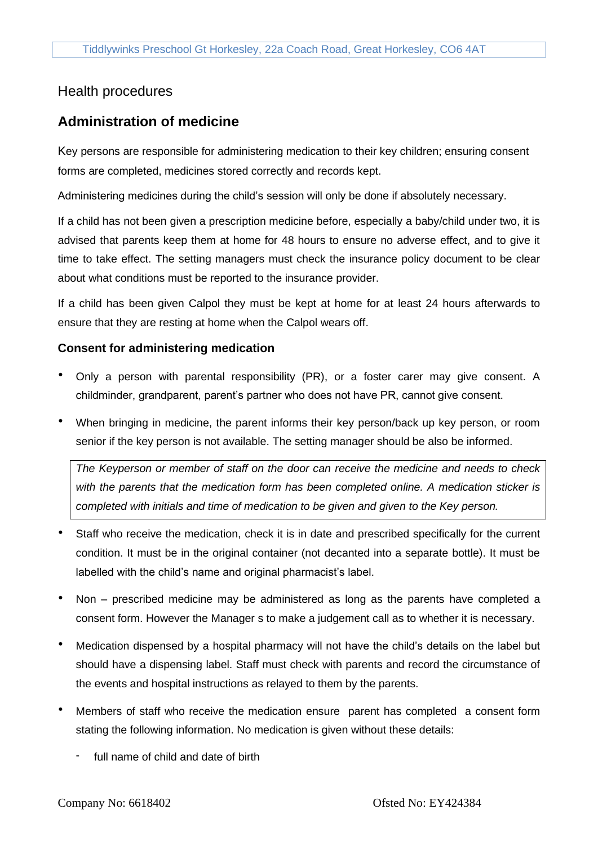## Health procedures

# **Administration of medicine**

Key persons are responsible for administering medication to their key children; ensuring consent forms are completed, medicines stored correctly and records kept.

Administering medicines during the child's session will only be done if absolutely necessary.

If a child has not been given a prescription medicine before, especially a baby/child under two, it is advised that parents keep them at home for 48 hours to ensure no adverse effect, and to give it time to take effect. The setting managers must check the insurance policy document to be clear about what conditions must be reported to the insurance provider.

If a child has been given Calpol they must be kept at home for at least 24 hours afterwards to ensure that they are resting at home when the Calpol wears off.

### **Consent for administering medication**

- Only a person with parental responsibility (PR), or a foster carer may give consent. A childminder, grandparent, parent's partner who does not have PR, cannot give consent.
- When bringing in medicine, the parent informs their key person/back up key person, or room senior if the key person is not available. The setting manager should be also be informed.

*The Keyperson or member of staff on the door can receive the medicine and needs to check with the parents that the medication form has been completed online. A medication sticker is completed with initials and time of medication to be given and given to the Key person.*

- Staff who receive the medication, check it is in date and prescribed specifically for the current condition. It must be in the original container (not decanted into a separate bottle). It must be labelled with the child's name and original pharmacist's label.
- Non prescribed medicine may be administered as long as the parents have completed a consent form. However the Manager s to make a judgement call as to whether it is necessary.
- Medication dispensed by a hospital pharmacy will not have the child's details on the label but should have a dispensing label. Staff must check with parents and record the circumstance of the events and hospital instructions as relayed to them by the parents.
- Members of staff who receive the medication ensure parent has completed a consent form stating the following information. No medication is given without these details:
	- full name of child and date of birth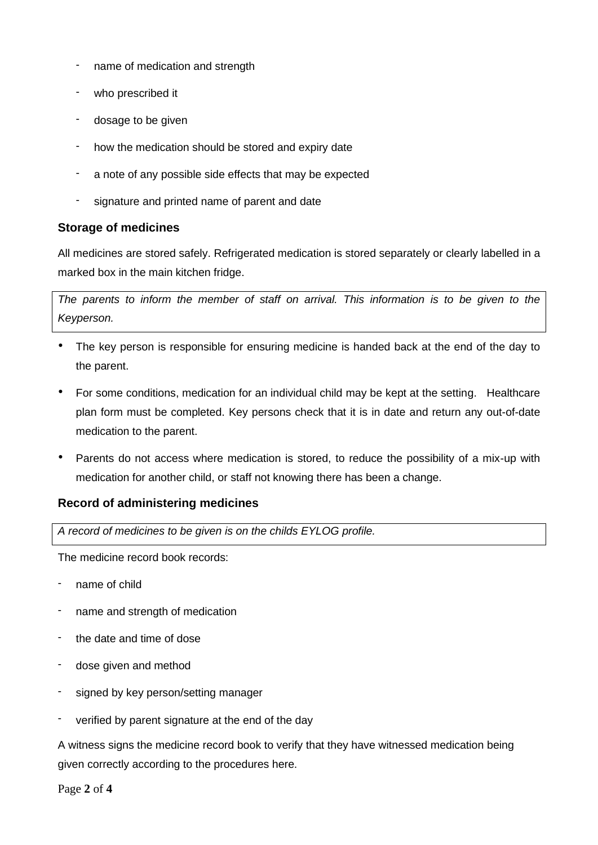- name of medication and strength
- who prescribed it
- dosage to be given
- how the medication should be stored and expiry date
- a note of any possible side effects that may be expected
- signature and printed name of parent and date

### **Storage of medicines**

All medicines are stored safely. Refrigerated medication is stored separately or clearly labelled in a marked box in the main kitchen fridge.

*The parents to inform the member of staff on arrival. This information is to be given to the Keyperson.*

- The key person is responsible for ensuring medicine is handed back at the end of the day to the parent.
- For some conditions, medication for an individual child may be kept at the setting. Healthcare plan form must be completed. Key persons check that it is in date and return any out-of-date medication to the parent.
- Parents do not access where medication is stored, to reduce the possibility of a mix-up with medication for another child, or staff not knowing there has been a change.

### **Record of administering medicines**

*A record of medicines to be given is on the childs EYLOG profile.*

The medicine record book records:

- name of child
- name and strength of medication
- the date and time of dose
- dose given and method
- signed by key person/setting manager
- verified by parent signature at the end of the day

A witness signs the medicine record book to verify that they have witnessed medication being given correctly according to the procedures here.

Page **2** of **4**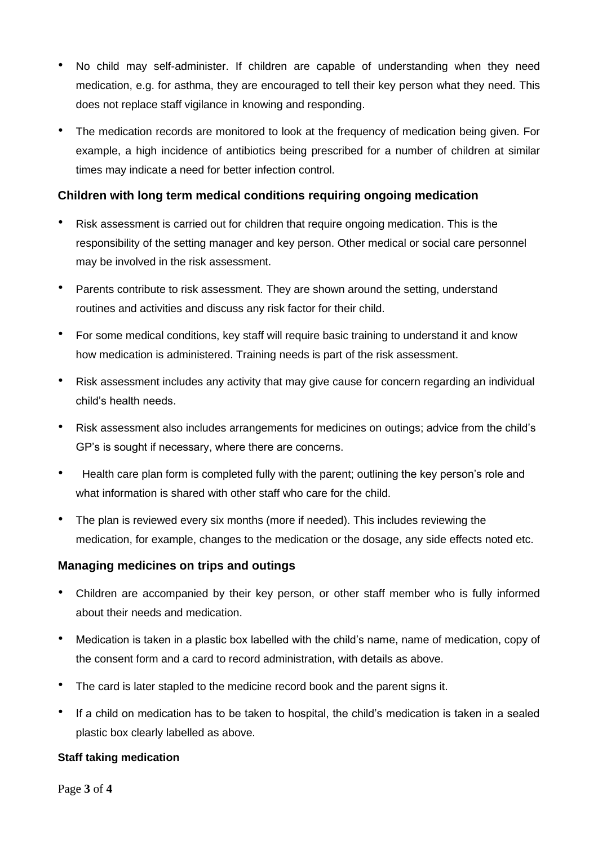- No child may self-administer. If children are capable of understanding when they need medication, e.g. for asthma, they are encouraged to tell their key person what they need. This does not replace staff vigilance in knowing and responding.
- The medication records are monitored to look at the frequency of medication being given. For example, a high incidence of antibiotics being prescribed for a number of children at similar times may indicate a need for better infection control.

### **Children with long term medical conditions requiring ongoing medication**

- Risk assessment is carried out for children that require ongoing medication. This is the responsibility of the setting manager and key person. Other medical or social care personnel may be involved in the risk assessment.
- Parents contribute to risk assessment. They are shown around the setting, understand routines and activities and discuss any risk factor for their child.
- For some medical conditions, key staff will require basic training to understand it and know how medication is administered. Training needs is part of the risk assessment.
- Risk assessment includes any activity that may give cause for concern regarding an individual child's health needs.
- Risk assessment also includes arrangements for medicines on outings; advice from the child's GP's is sought if necessary, where there are concerns.
- Health care plan form is completed fully with the parent; outlining the key person's role and what information is shared with other staff who care for the child.
- The plan is reviewed every six months (more if needed). This includes reviewing the medication, for example, changes to the medication or the dosage, any side effects noted etc.

### **Managing medicines on trips and outings**

- Children are accompanied by their key person, or other staff member who is fully informed about their needs and medication.
- Medication is taken in a plastic box labelled with the child's name, name of medication, copy of the consent form and a card to record administration, with details as above.
- The card is later stapled to the medicine record book and the parent signs it.
- If a child on medication has to be taken to hospital, the child's medication is taken in a sealed plastic box clearly labelled as above.

### **Staff taking medication**

Page **3** of **4**